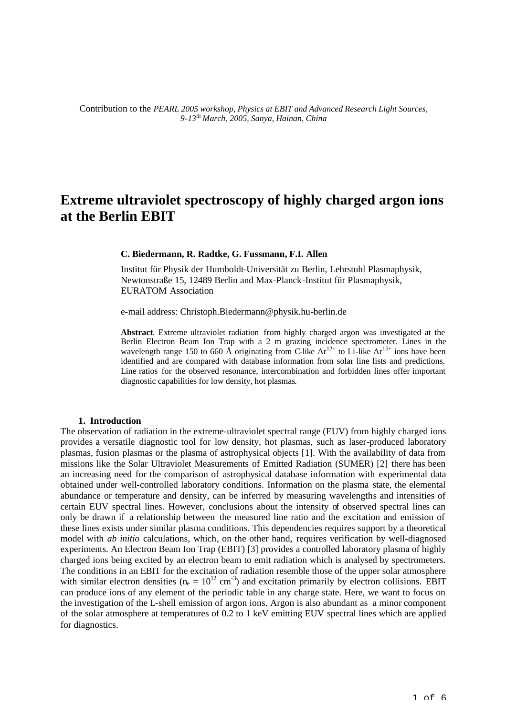Contribution to the *PEARL 2005 workshop, Physics at EBIT and Advanced Research Light Sources, 9-13th March, 2005, Sanya, Hainan, China* 

# **Extreme ultraviolet spectroscopy of highly charged argon ions at the Berlin EBIT**

**C. Biedermann, R. Radtke, G. Fussmann, F.I. Allen**

Institut für Physik der Humboldt-Universität zu Berlin, Lehrstuhl Plasmaphysik, Newtonstraße 15, 12489 Berlin and Max-Planck-Institut für Plasmaphysik, EURATOM Association

e-mail address: Christoph.Biedermann@physik.hu-berlin.de

**Abstract**. Extreme ultraviolet radiation from highly charged argon was investigated at the Berlin Electron Beam Ion Trap with a 2 m grazing incidence spectrometer. Lines in the wavelength range 150 to 660 Å originating from C-like  $Ar^{12+}$  to Li-like  $Ar^{15+}$  ions have been identified and are compared with database information from solar line lists and predictions. Line ratios for the observed resonance, intercombination and forbidden lines offer important diagnostic capabilities for low density, hot plasmas.

#### **1. Introduction**

The observation of radiation in the extreme-ultraviolet spectral range (EUV) from highly charged ions provides a versatile diagnostic tool for low density, hot plasmas, such as laser-produced laboratory plasmas, fusion plasmas or the plasma of astrophysical objects [1]. With the availability of data from missions like the Solar Ultraviolet Measurements of Emitted Radiation (SUMER) [2] there has been an increasing need for the comparison of astrophysical database information with experimental data obtained under well-controlled laboratory conditions. Information on the plasma state, the elemental abundance or temperature and density, can be inferred by measuring wavelengths and intensities of certain EUV spectral lines. However, conclusions about the intensity of observed spectral lines can only be drawn if a relationship between the measured line ratio and the excitation and emission of these lines exists under similar plasma conditions. This dependencies requires support by a theoretical model with *ab initio* calculations, which, on the other hand, requires verification by well-diagnosed experiments. An Electron Beam Ion Trap (EBIT) [3] provides a controlled laboratory plasma of highly charged ions being excited by an electron beam to emit radiation which is analysed by spectrometers. The conditions in an EBIT for the excitation of radiation resemble those of the upper solar atmosphere with similar electron densities ( $n_e = 10^{12}$  cm<sup>-3</sup>) and excitation primarily by electron collisions. EBIT can produce ions of any element of the periodic table in any charge state. Here, we want to focus on the investigation of the L-shell emission of argon ions. Argon is also abundant as a minor component of the solar atmosphere at temperatures of 0.2 to 1 keV emitting EUV spectral lines which are applied for diagnostics.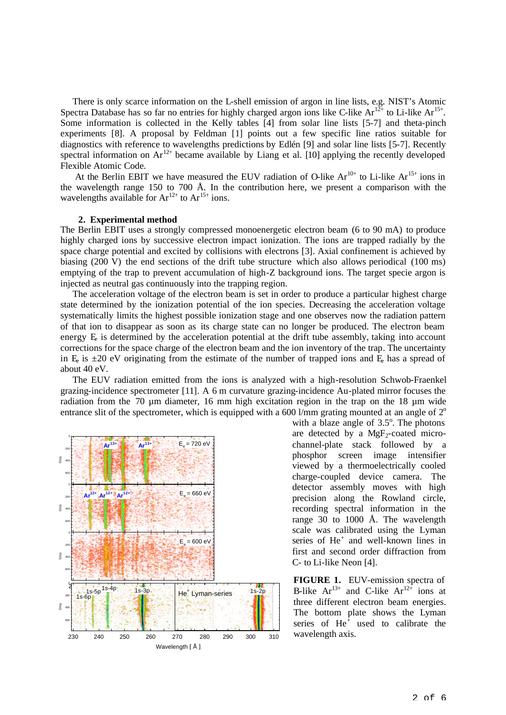There is only scarce information on the L-shell emission of argon in line lists, e.g. NIST's Atomic Spectra Database has so far no entries for highly charged argon ions like C-like  $Ar^{12+}$  to Li-like  $Ar^{15+}$ . Some information is collected in the Kelly tables [4] from solar line lists [5-7] and theta-pinch experiments [8]. A proposal by Feldman [1] points out a few specific line ratios suitable for diagnostics with reference to wavelengths predictions by Edlén [9] and solar line lists [5-7]. Recently spectral information on  $Ar^{12+}$  became available by Liang et al. [10] applying the recently developed Flexible Atomic Code.

At the Berlin EBIT we have measured the EUV radiation of O-like  $Ar^{10+}$  to Li-like  $Ar^{15+}$  ions in the wavelength range 150 to 700 Å. In the contribution here, we present a comparison with the wavelengths available for  $Ar^{12+}$  to  $Ar^{15+}$  ions.

## **2. Experimental method**

The Berlin EBIT uses a strongly compressed monoenergetic electron beam (6 to 90 mA) to produce highly charged ions by successive electron impact ionization. The ions are trapped radially by the space charge potential and excited by collisions with electrons [3]. Axial confinement is achieved by biasing (200 V) the end sections of the drift tube structure which also allows periodical (100 ms) emptying of the trap to prevent accumulation of high-Z background ions. The target specie argon is injected as neutral gas continuously into the trapping region.

The acceleration voltage of the electron beam is set in order to produce a particular highest charge state determined by the ionization potential of the ion species. Decreasing the acceleration voltage systematically limits the highest possible ionization stage and one observes now the radiation pattern of that ion to disappear as soon as its charge state can no longer be produced. The electron beam energy  $E<sub>e</sub>$  is determined by the acceleration potential at the drift tube assembly, taking into account corrections for the space charge of the electron beam and the ion inventory of the trap. The uncertainty in E<sub>r</sub> is  $\pm 20$  eV originating from the estimate of the number of trapped ions and E<sub>r</sub> has a spread of about 40 eV.

The EUV radiation emitted from the ions is analyzed with a high-resolution Schwob-Fraenkel grazing-incidence spectrometer [11]. A 6 m curvature grazing-incidence Au-plated mirror focuses the radiation from the 70  $\mu$ m diameter, 16 mm high excitation region in the trap on the 18  $\mu$ m wide entrance slit of the spectrometer, which is equipped with a 600 l/mm grating mounted at an angle of  $2^{\circ}$ 



with a blaze angle of  $3.5^\circ$ . The photons are detected by a  $MgF_2$ -coated microchannel-plate stack followed by a phosphor screen image intensifier viewed by a thermoelectrically cooled charge-coupled device camera. The detector assembly moves with high precision along the Rowland circle, recording spectral information in the range 30 to 1000 Å. The wavelength scale was calibrated using the Lyman series of He<sup>+</sup> and well-known lines in first and second order diffraction from C- to Li-like Neon [4].

**FIGURE 1.** EUV-emission spectra of B-like  $Ar^{13+}$  and C-like  $Ar^{12+}$  ions at three different electron beam energies. The bottom plate shows the Lyman series of  $He^+$  used to calibrate the wavelength axis.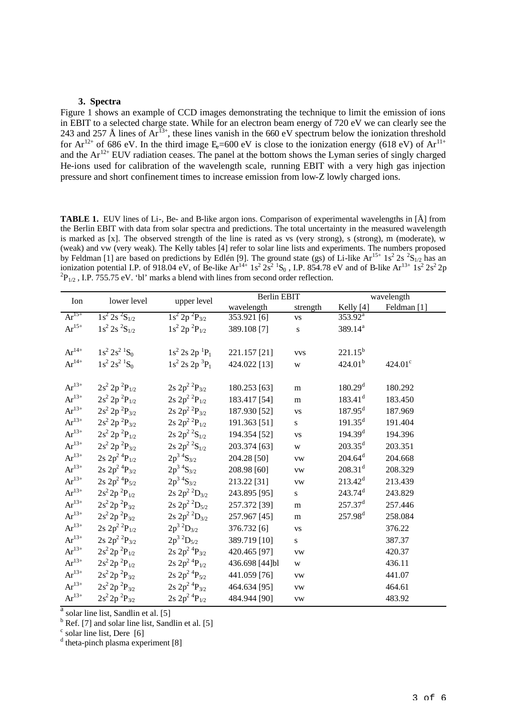### **3. Spectra**

Figure 1 shows an example of CCD images demonstrating the technique to limit the emission of ions in EBIT to a selected charge state. While for an electron beam energy of 720 eV we can clearly see the 243 and 257 Å lines of  $Ar^{13+}$ , these lines vanish in the 660 eV spectrum below the ionization threshold for  $Ar^{12+}$  of 686 eV. In the third image E=600 eV is close to the ionization energy (618 eV) of  $Ar^{11+}$ and the  $Ar^{12+}$  EUV radiation ceases. The panel at the bottom shows the Lyman series of singly charged He-ions used for calibration of the wavelength scale, running EBIT with a very high gas injection pressure and short confinement times to increase emission from low-Z lowly charged ions.

**TABLE 1.** EUV lines of Li-, Be- and B-like argon ions. Comparison of experimental wavelengths in [Å] from the Berlin EBIT with data from solar spectra and predictions. The total uncertainty in the measured wavelength is marked as [x]. The observed strength of the line is rated as vs (very strong), s (strong), m (moderate), w (weak) and vw (very weak). The Kelly tables [4] refer to solar line lists and experiments. The numbers proposed by Feldman [1] are based on predictions by Edlén [9]. The ground state (gs) of Li-like  $Ar^{15+1} s^2 2s^2 S_{1/2}$  has an ionization potential I.P. of 918.04 eV, of Be-like  $Ar^{14+} 1s^2 2s^2 1s_0$ , I.P. 854.78 eV and of B-like  $Ar^{13+} 1s^2 2s^2 2p$  ${}^{2}P_{1/2}$ , I.P. 755.75 eV. 'bl' marks a blend with lines from second order reflection.

| Ion                 | lower level                      | upper level                             | <b>Berlin EBIT</b> |            | wavelength            |                  |
|---------------------|----------------------------------|-----------------------------------------|--------------------|------------|-----------------------|------------------|
|                     |                                  |                                         | wavelength         | strength   | Kelly [4]             | Feldman [1]      |
| $Ar^{15+}$          | $1s^2 2s^2S_{1/2}$               | $1s^2 2p^2P_{3/2}$                      | 353.921 [6]        | <b>VS</b>  | $353.92^a$            |                  |
| $Ar^{15+}$          | $1s^2 2s 2s_{1/2}$               | $1s^2 2p^2P_{1/2}$                      | 389.108 [7]        | ${\bf S}$  | 389.14 <sup>a</sup>   |                  |
|                     |                                  |                                         |                    |            |                       |                  |
| $Ar^{14+}$          | $1s^2 2s^2$ ${}^1S_0$            | $1s^2 2s 2p^1P_1$                       | 221.157 [21]       | <b>VVS</b> | $221.15^{b}$          |                  |
| $Ar^{14+}$          | $1s^2 2s^2$ ${}^1S_0$            | $1s^2$ 2s 2p ${}^3P_1$                  | 424.022 [13]       | W          | 424.01 <sup>b</sup>   | $424.01^{\circ}$ |
|                     |                                  |                                         |                    |            |                       |                  |
| $Ar^{13+}$          | $2s^2 2p^2P_{1/2}$               | $2s 2p^2$ <sup>2</sup> $P_{3/2}$        | 180.253 [63]       | m          | 180.29 <sup>d</sup>   | 180.292          |
| $Ar^{13+}$          | $2s^2 2p^2P_{1/2}$               | $2s 2p^2$ <sup>2</sup> $P_{1/2}$        | 183.417 [54]       | m          | $183.41$ <sup>d</sup> | 183.450          |
| $Ar^{13+}$          | $2s^2 2p^2P_{3/2}$               | $2s 2p^2$ <sup>2</sup> $P_{3/2}$        | 187.930 [52]       | <b>VS</b>  | $187.95^d$            | 187.969          |
| $Ar^{13+}$          | $2s^2 2p^2P_{3/2}$               | $2s 2p^2$ <sup>2</sup> $P_{1/2}$        | 191.363 [51]       | S.         | $191.35^d$            | 191.404          |
| $Ar^{13+}$          | $2s^2 2p^2P_{1/2}$               | $2s 2p^2$ <sup>2</sup> S <sub>1/2</sub> | 194.354 [52]       | <b>VS</b>  | 194.39 <sup>d</sup>   | 194.396          |
| $Ar^{13+}$          | $2s^2 2p^2P_{3/2}$               | $2s 2p^2 S_{1/2}$                       | 203.374 [63]       | W          | $203.35^d$            | 203.351          |
| $\rm Ar^{13+}$      | $2s 2p^2 4P_{1/2}$               | $2p^3$ <sup>4</sup> S <sub>3/2</sub>    | 204.28 [50]        | <b>VW</b>  | $204.64^d$            | 204.668          |
| $Ar^{13+}$          | $2s 2p^2$ <sup>4</sup> $P_{3/2}$ | $2p^3$ <sup>4</sup> S <sub>3/2</sub>    | 208.98 [60]        | <b>VW</b>  | $208.31$ <sup>d</sup> | 208.329          |
| $Ar^{13+}$          | $2s 2p^2 4P_{5/2}$               | $2p^3$ <sup>4</sup> S <sub>3/2</sub>    | 213.22 [31]        | <b>VW</b>  | $213.42^d$            | 213.439          |
| $Ar^{13+}$          | $2s^2 2p^2P_{1/2}$               | $2s 2p^2$ <sup>2</sup> $D_{3/2}$        | 243.895 [95]       | S.         | $243.74$ <sup>d</sup> | 243.829          |
| $\rm Ar^{13+}$      | $2s^2 2p^2P_{3/2}$               | $2s 2p^2$ <sup>2</sup> $D_{5/2}$        | 257.372 [39]       | m          | $257.37^d$            | 257.446          |
| $Ar^{13+}$          | $2s^2 2p^2P_{3/2}$               | $2s 2p^2$ <sup>2</sup> $D_{3/2}$        | 257.967 [45]       | m          | $257.98^{d}$          | 258.084          |
| $Ar^{13+}$          | $2s 2p^2$ <sup>2</sup> $P_{1/2}$ | $2p^3$ ${}^2D_{3/2}$                    | 376.732 [6]        | <b>VS</b>  |                       | 376.22           |
| $Ar^{13+}$          | $2s 2p^2$ <sup>2</sup> $P_{3/2}$ | $2p^3$ ${}^2D_{5/2}$                    | 389.719 [10]       | S.         |                       | 387.37           |
| $Ar^{13+}$          | $2s^2 2p^2P_{1/2}$               | $2s 2p^2$ <sup>4</sup> $P_{3/2}$        | 420.465 [97]       | <b>VW</b>  |                       | 420.37           |
| $\mathrm{Ar}^{13+}$ | $2s^2 2p^2P_{1/2}$               | $2s 2p^2$ <sup>4</sup> $P_{1/2}$        | 436.698 [44]bl     | W          |                       | 436.11           |
| $\text{Ar}^{13+}$   | $2s^2 2p^2P_{3/2}$               | $2s 2p^2$ <sup>4</sup> $P_{5/2}$        | 441.059 [76]       | <b>VW</b>  |                       | 441.07           |
| $Ar^{13+}$          | $2s^2 2p^2P_{3/2}$               | $2s 2p^2$ <sup>4</sup> $P_{3/2}$        | 464.634 [95]       | <b>VW</b>  |                       | 464.61           |
| $Ar^{13+}$          | $2s^2 2p^2P_{3/2}$               | $2s 2p^2$ <sup>4</sup> $P_{1/2}$        | 484.944 [90]       | ${\rm VW}$ |                       | 483.92           |

<sup>a</sup> solar line list, Sandlin et al. [5]

<sup>b</sup> Ref. [7] and solar line list, Sandlin et al. [5]

<sup>c</sup> solar line list, Dere [6]<br><sup>d</sup> theta-pinch plasma experiment [8]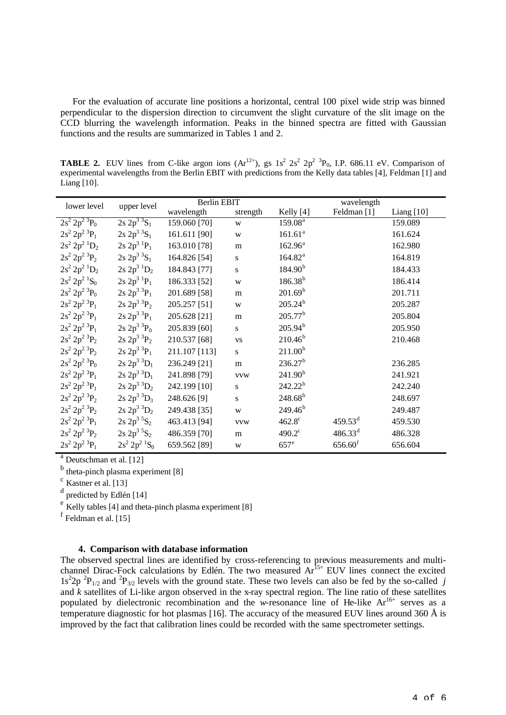For the evaluation of accurate line positions a horizontal, central 100 pixel wide strip was binned perpendicular to the dispersion direction to circumvent the slight curvature of the slit image on the CCD blurring the wavelength information. Peaks in the binned spectra are fitted with Gaussian functions and the results are summarized in Tables 1 and 2.

**TABLE 2.** EUV lines from C-like argon ions  $(Ar^{12+})$ , gs  $1s^2 2s^2 2p^2 3p_0$ , I.P. 686.11 eV. Comparison of experimental wavelengths from the Berlin EBIT with predictions from the Kelly data tables [4], Feldman [1] and Liang [10].

| lower level                             | upper level                             | <b>Berlin EBIT</b> |            | wavelength          |                       |              |
|-----------------------------------------|-----------------------------------------|--------------------|------------|---------------------|-----------------------|--------------|
|                                         |                                         | wavelength         | strength   | Kelly [4]           | Feldman [1]           | Liang $[10]$ |
| $2s^2 2p^2$ <sup>3</sup> $P_0$          | $2s\ 2p^3\ 3S_1$                        | 159.060 [70]       | W          | 159.08 <sup>a</sup> |                       | 159.089      |
| $2s^2 2p^2$ <sup>3</sup> $P_1$          | $2s\ 2p^3\ 3S_1$                        | 161.611 [90]       | W          | 161.61 <sup>a</sup> |                       | 161.624      |
| $2s^2 2p^2$ <sup>1</sup> D <sub>2</sub> | $2s\ 2p^3\ {}^1P_1$                     | 163.010 [78]       | m          | $162.96^a$          |                       | 162.980      |
| $2s^2 2p^2$ <sup>3</sup> $P_2$          | $2s\ 2p^3\ 3S_1$                        | 164.826 [54]       | S          | $164.82^{a}$        |                       | 164.819      |
| $2s^2 2p^2$ <sup>1</sup> D <sub>2</sub> | $2s\ 2p^3\ 1D_2$                        | 184.843 [77]       | S          | 184.90 <sup>b</sup> |                       | 184.433      |
| $2s^2 2p^2 1S_0$                        | $2s\ 2p^3\ {}^1P_1$                     | 186.333 [52]       | W          | $186.38^{b}$        |                       | 186.414      |
| $2s^2 2p^2$ <sup>3</sup> $P_0$          | $2s\ 2p^3\ 3P_1$                        | 201.689 [58]       | m          | 201.69 <sup>b</sup> |                       | 201.711      |
| $2s^2 2p^2$ <sup>3</sup> $P_1$          | $2s\ 2p^3\ 3P_2$                        | 205.257 [51]       | W          | $205.24^{b}$        |                       | 205.287      |
| $2s^2 2p^2$ <sup>3</sup> $P_1$          | $2s\,2p^3\,{}^3P_1$                     | 205.628 [21]       | m          | $205.77^{b}$        |                       | 205.804      |
| $2s^2 2p^2$ <sup>3</sup> $P_1$          | $2s\ 2p^3\ 3P_0$                        | 205.839 [60]       | S          | $205.94^{b}$        |                       | 205.950      |
| $2s^2 2p^2$ <sup>3</sup> $P_2$          | $2s\ 2p^3\ 3P_2$                        | 210.537 [68]       | <b>VS</b>  | $210.46^{b}$        |                       | 210.468      |
| $2s^2 2p^2$ <sup>3</sup> $P_2$          | $2s\ 2p^3\ 3P_1$                        | 211.107 [113]      | S          | 211.00 <sup>b</sup> |                       |              |
| $2s^2 2p^2$ <sup>3</sup> $P_0$          | $2s\ 2p^3\ 3D_1$                        | 236.249 [21]       | m          | 236.27 <sup>b</sup> |                       | 236.285      |
| $2s^2 2p^2$ <sup>3</sup> $P_1$          | $2s\ 2p^3\ 3D_1$                        | 241.898 [79]       | <b>VVW</b> | 241.90 <sup>b</sup> |                       | 241.921      |
| $2s^2 2p^2$ <sup>3</sup> $P_1$          | $2s\ 2p^3\ 3D_2$                        | 242.199 [10]       | S          | $242.22^{b}$        |                       | 242.240      |
| $2s^2 2p^2$ <sup>3</sup> $P_2$          | $2s\ 2p^3\ 3D_3$                        | 248.626 [9]        | S          | $248.68^{b}$        |                       | 248.697      |
| $2s^2 2p^2$ <sup>3</sup> $P_2$          | $2s\ 2p^3\ 3D_2$                        | 249.438 [35]       | W          | 249.46 <sup>b</sup> |                       | 249.487      |
| $2s^2 2p^2$ <sup>3</sup> $P_1$          | $2s\ 2p^3\ 5S_2$                        | 463.413 [94]       | <b>VVW</b> | $462.8^{\circ}$     | $459.53$ <sup>d</sup> | 459.530      |
| $2s^2 2p^2$ <sup>3</sup> $P_2$          | $2s\ 2p^3\ 5S_2$                        | 486.359 [70]       | m          | $490.2^{\circ}$     | $486.33^{d}$          | 486.328      |
| $2s^2 2p^2$ <sup>3</sup> $P_1$          | $2s^2 2p^2$ <sup>1</sup> S <sub>0</sub> | 659.562 [89]       | W          | $657^e$             | $656.60$ <sup>f</sup> | 656.604      |

<sup>a</sup> Deutschman et al. [12]

<sup>b</sup> theta-pinch plasma experiment [8]

 $\rm c$  Kastner et al. [13]

<sup>d</sup> predicted by Edlén [14]

 $\frac{e}{e}$  Kelly tables [4] and theta-pinch plasma experiment [8]

f<br>Feldman et al. [15]

# **4. Comparison with database information**

The observed spectral lines are identified by cross-referencing to previous measurements and multichannel Dirac-Fock calculations by Edlén. The two measured  $Ar^{15+}$  EUV lines connect the excited  $1s^22p^2P_{1/2}$  and  $P_{3/2}$  levels with the ground state. These two levels can also be fed by the so-called *j* and *k* satellites of Li-like argon observed in the x-ray spectral region. The line ratio of these satellites populated by dielectronic recombination and the *w*-resonance line of He-like  $Ar^{16+}$  serves as a temperature diagnostic for hot plasmas [16]. The accuracy of the measured EUV lines around 360  $\AA$  is improved by the fact that calibration lines could be recorded with the same spectrometer settings.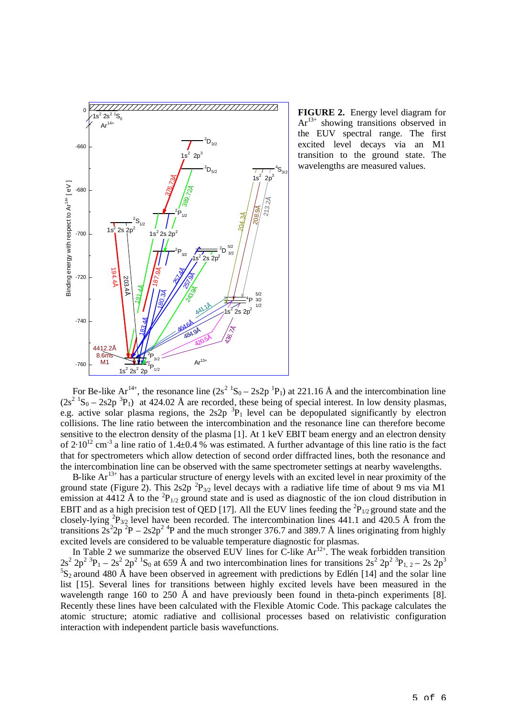

**FIGURE 2.** Energy level diagram for  $Ar<sup>13+</sup>$  showing transitions observed in the EUV spectral range. The first excited level decays via an M1 transition to the ground state. The wavelengths are measured values.

For Be-like Ar<sup>14+</sup>, the resonance line  $(2s^2 {}^{1}S_0 - 2s2p {}^{1}P_1)$  at 221.16 Å and the intercombination line  $(2s^2 {}^1S_0 - 2s2p {}^3P_1)$  at 424.02 Å are recorded, these being of special interest. In low density plasmas, e.g. active solar plasma regions, the  $2s2p<sup>3</sup>P<sub>1</sub>$  level can be depopulated significantly by electron collisions. The line ratio between the intercombination and the resonance line can therefore become sensitive to the electron density of the plasma [1]. At 1 keV EBIT beam energy and an electron density of 2.10<sup>12</sup> cm<sup>-3</sup> a line ratio of 1.4±0.4 % was estimated. A further advantage of this line ratio is the fact that for spectrometers which allow detection of second order diffracted lines, both the resonance and the intercombination line can be observed with the same spectrometer settings at nearby wavelengths.

B-like  $Ar^{13+}$  has a particular structure of energy levels with an excited level in near proximity of the ground state (Figure 2). This 2s2p  ${}^{2}P_{3/2}$  level decays with a radiative life time of about 9 ms via M1 emission at 4412 Å to the  ${}^{2}P_{1/2}$  ground state and is used as diagnostic of the ion cloud distribution in EBIT and as a high precision test of QED [17]. All the EUV lines feeding the  ${}^{2}P_{1/2}$  ground state and the closely-lying  ${}^{2}P_{3/2}$  level have been recorded. The intercombination lines 441.1 and 420.5 Å from the transitions  $2s^2 2p^2 P - 2s2p^2 P$  and the much stronger 376.7 and 389.7 Å lines originating from highly excited levels are considered to be valuable temperature diagnostic for plasmas.

In Table 2 we summarize the observed EUV lines for C-like  $Ar^{12+}$ . The weak forbidden transition  $2s^2 2p^2$   ${}^3P_1 - 2s^2 2p^2$   ${}^1S_0$  at 659 Å and two intercombination lines for transitions  $2s^2 2p^2$   ${}^3P_{1,2} - 2s 2p^3$  ${}^{5}S_{2}$  around 480 Å have been observed in agreement with predictions by Edlén [14] and the solar line list [15]. Several lines for transitions between highly excited levels have been measured in the wavelength range 160 to 250 Å and have previously been found in theta-pinch experiments [8]. Recently these lines have been calculated with the Flexible Atomic Code. This package calculates the atomic structure; atomic radiative and collisional processes based on relativistic configuration